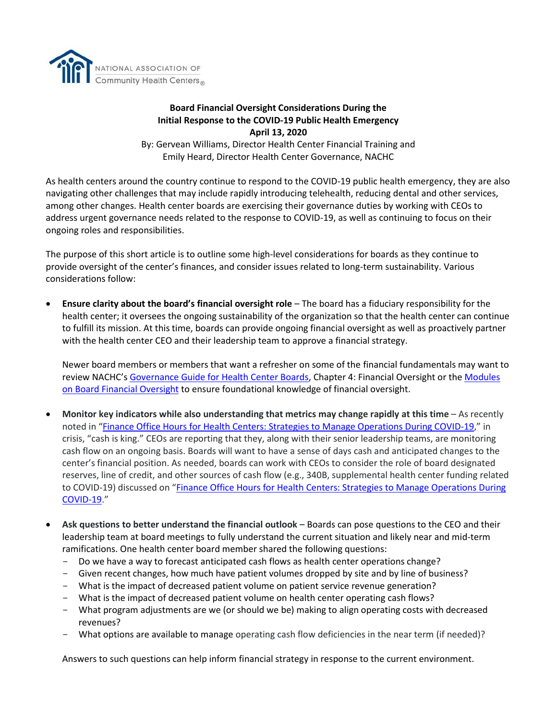

## **Board Financial Oversight Considerations During the Initial Response to the COVID-19 Public Health Emergency April 13, 2020**

By: Gervean Williams, Director Health Center Financial Training and Emily Heard, Director Health Center Governance, NACHC

As health centers around the country continue to respond to the COVID-19 public health emergency, they are also navigating other challenges that may include rapidly introducing telehealth, reducing dental and other services, among other changes. Health center boards are exercising their governance duties by working with CEOs to address urgent governance needs related to the response to COVID-19, as well as continuing to focus on their ongoing roles and responsibilities.

The purpose of this short article is to outline some high-level considerations for boards as they continue to provide oversight of the center's finances, and consider issues related to long-term sustainability. Various considerations follow:

• **Ensure clarity about the board's financial oversight role** – The board has a fiduciary responsibility for the health center; it oversees the ongoing sustainability of the organization so that the health center can continue to fulfill its mission. At this time, boards can provide ongoing financial oversight as well as proactively partner with the health center CEO and their leadership team to approve a financial strategy.

Newer board members or members that want a refresher on some of the financial fundamentals may want to review NACHC's [Governance Guide for Health Center Boards,](https://cdn1.digitellinc.com/uploads/nachc/articles/7fe9346eb2a7bfe3fd6468e9e7609f54.pdf) Chapter 4: Financial Oversight or the Modules [on Board Financial Oversight](https://conferences.nachc.org/nachc/store/132/index/1001) to ensure foundational knowledge of financial oversight.

- **Monitor key indicators while also understanding that metrics may change rapidly at this time** As recently noted in "[Finance Office Hours for Health Centers: Strategies to Manage Operations During COVID-19](https://www.healthcenterinfo.org/details/?id=2432)," in crisis, "cash is king." CEOs are reporting that they, along with their senior leadership teams, are monitoring cash flow on an ongoing basis. Boards will want to have a sense of days cash and anticipated changes to the center's financial position. As needed, boards can work with CEOs to consider the role of board designated reserves, line of credit, and other sources of cash flow (e.g., 340B, supplemental health center funding related to COVID-19) discussed on "[Finance Office Hours for Health Centers: Strategies to Manage Operations During](https://www.healthcenterinfo.org/details/?id=2432)  [COVID-19.](https://www.healthcenterinfo.org/details/?id=2432)"
- Ask questions to better understand the financial outlook Boards can pose questions to the CEO and their leadership team at board meetings to fully understand the current situation and likely near and mid-term ramifications. One health center board member shared the following questions:
	- Do we have a way to forecast anticipated cash flows as health center operations change?
	- Given recent changes, how much have patient volumes dropped by site and by line of business?
	- What is the impact of decreased patient volume on patient service revenue generation?
	- What is the impact of decreased patient volume on health center operating cash flows?
	- What program adjustments are we (or should we be) making to align operating costs with decreased revenues?
	- What options are available to manage operating cash flow deficiencies in the near term (if needed)?

Answers to such questions can help inform financial strategy in response to the current environment.